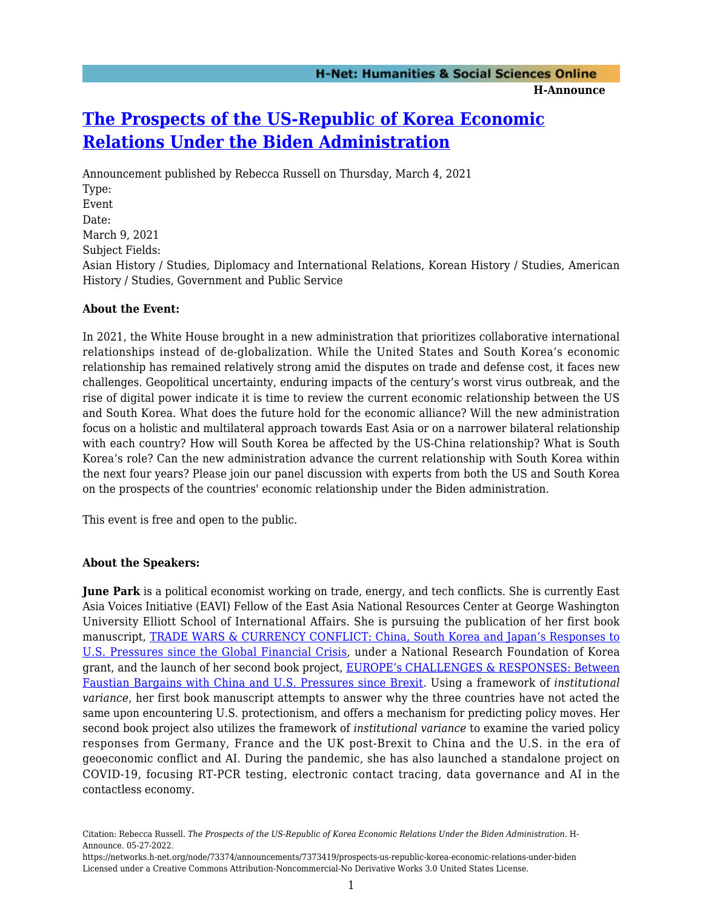## **[The Prospects of the US-Republic of Korea Economic](https://networks.h-net.org/node/73374/announcements/7373419/prospects-us-republic-korea-economic-relations-under-biden) [Relations Under the Biden Administration](https://networks.h-net.org/node/73374/announcements/7373419/prospects-us-republic-korea-economic-relations-under-biden)**

Announcement published by Rebecca Russell on Thursday, March 4, 2021 Type: Event Date: March 9, 2021 Subject Fields: Asian History / Studies, Diplomacy and International Relations, Korean History / Studies, American History / Studies, Government and Public Service

## **About the Event:**

In 2021, the White House brought in a new administration that prioritizes collaborative international relationships instead of de-globalization. While the United States and South Korea's economic relationship has remained relatively strong amid the disputes on trade and defense cost, it faces new challenges. Geopolitical uncertainty, enduring impacts of the century's worst virus outbreak, and the rise of digital power indicate it is time to review the current economic relationship between the US and South Korea. What does the future hold for the economic alliance? Will the new administration focus on a holistic and multilateral approach towards East Asia or on a narrower bilateral relationship with each country? How will South Korea be affected by the US-China relationship? What is South Korea's role? Can the new administration advance the current relationship with South Korea within the next four years? Please join our panel discussion with experts from both the US and South Korea on the prospects of the countries' economic relationship under the Biden administration.

This event is free and open to the public.

## **About the Speakers:**

**June Park** is a political economist working on trade, energy, and tech conflicts. She is currently East Asia Voices Initiative (EAVI) Fellow of the East Asia National Resources Center at George Washington University Elliott School of International Affairs. She is pursuing the publication of her first book manuscript, [TRADE WARS & CURRENCY CONFLICT: China, South Korea and Japan's Responses to](https://t.e2ma.net/click/0sl26e/of78v3sb/4rbh8t) [U.S. Pressures since the Global Financial Crisis](https://t.e2ma.net/click/0sl26e/of78v3sb/4rbh8t), under a National Research Foundation of Korea grant, and the launch of her second book project, [EUROPE's CHALLENGES & RESPONSES: Between](https://t.e2ma.net/click/0sl26e/of78v3sb/kkch8t) [Faustian Bargains with China and U.S. Pressures since Brexit.](https://t.e2ma.net/click/0sl26e/of78v3sb/kkch8t) Using a framework of *institutional variance*, her first book manuscript attempts to answer why the three countries have not acted the same upon encountering U.S. protectionism, and offers a mechanism for predicting policy moves. Her second book project also utilizes the framework of *institutional variance* to examine the varied policy responses from Germany, France and the UK post-Brexit to China and the U.S. in the era of geoeconomic conflict and AI. During the pandemic, she has also launched a standalone project on COVID-19, focusing RT-PCR testing, electronic contact tracing, data governance and AI in the contactless economy.

Citation: Rebecca Russell. *The Prospects of the US-Republic of Korea Economic Relations Under the Biden Administration*. H-Announce. 05-27-2022.

https://networks.h-net.org/node/73374/announcements/7373419/prospects-us-republic-korea-economic-relations-under-biden Licensed under a Creative Commons Attribution-Noncommercial-No Derivative Works 3.0 United States License.